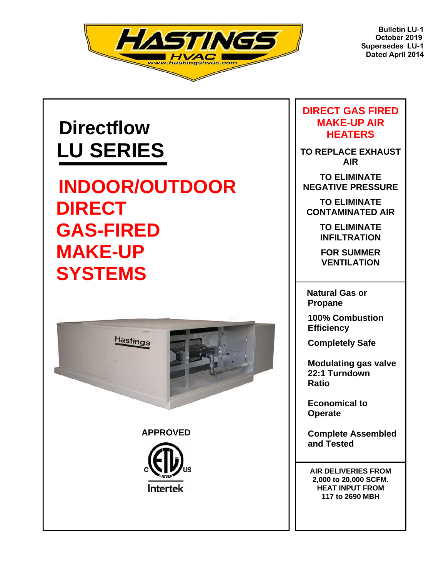

**Bulletin LU-1 October 2019 Supersedes LU-1 Dated April 2014**

# **Directflow LU SERIES**

**INDOOR/OUTDOOR DIRECT GAS-FIRED MAKE-UP SYSTEMS** 





### **DIRECT GAS FIRED MAKE-UP AIR HEATERS**

**TO REPLACE EXHAUST AIR** 

**TO ELIMINATE NEGATIVE PRESSURE** 

**TO ELIMINATE CONTAMINATED AIR** 

> **TO ELIMINATE INFILTRATION**

**FOR SUMMER VENTILATION** 

 **Natural Gas or Propane** 

 **100% Combustion Efficiency** 

 **Completely Safe** 

 **Modulating gas valve 22:1 Turndown Ratio** 

 **Economical to Operate**

 **Complete Assembled and Tested** 

**AIR DELIVERIES FROM 2,000 to 20,000 SCFM. HEAT INPUT FROM 117 to 2690 MBH**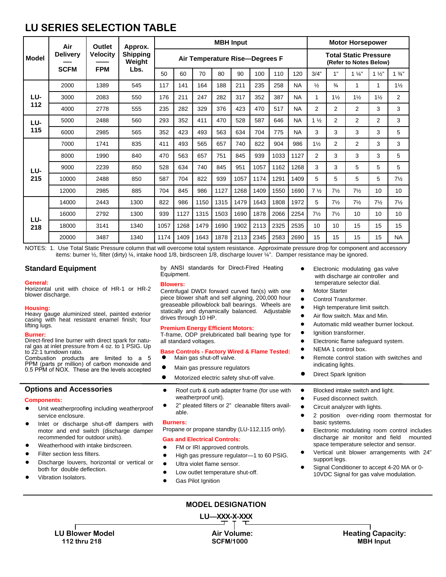# **LU SERIES SELECTION TABLE**

|            | Air<br><b>Delivery</b> | <b>Outlet</b><br><b>Velocity</b> | Approx.<br><b>Shipping</b><br>Weight | <b>MBH</b> Input               |      |      |      |      |      | <b>Motor Horsepower</b>                                |           |                |                |                |                 |                |
|------------|------------------------|----------------------------------|--------------------------------------|--------------------------------|------|------|------|------|------|--------------------------------------------------------|-----------|----------------|----------------|----------------|-----------------|----------------|
| Model      |                        |                                  |                                      | Air Temperature Rise-Degrees F |      |      |      |      |      | <b>Total Static Pressure</b><br>(Refer to Notes Below) |           |                |                |                |                 |                |
|            | <b>SCFM</b>            | <b>FPM</b>                       | Lbs.                                 | 50                             | 60   | 70   | 80   | 90   | 100  | 110                                                    | 120       | 3/4"           | 1"             | $1\frac{1}{4}$ | $1\frac{1}{2}$  | $1\frac{3}{4}$ |
|            | 2000                   | 1389                             | 545                                  | 117                            | 141  | 164  | 188  | 211  | 235  | 258                                                    | <b>NA</b> | $\frac{1}{2}$  | $\frac{3}{4}$  | 1              | 1               | $1\frac{1}{2}$ |
| LU-        | 3000                   | 2083                             | 550                                  | 176                            | 211  | 247  | 282  | 317  | 352  | 387                                                    | <b>NA</b> | 1              | $1\frac{1}{2}$ | $1\frac{1}{2}$ | $1\frac{1}{2}$  | $\overline{2}$ |
| 112        | 4000                   | 2778                             | 555                                  | 235                            | 282  | 329  | 376  | 423  | 470  | 517                                                    | <b>NA</b> | $\overline{2}$ | $\overline{2}$ | 2              | 3               | 3              |
| LU-<br>115 | 5000                   | 2488                             | 560                                  | 293                            | 352  | 411  | 470  | 528  | 587  | 646                                                    | <b>NA</b> | $1\frac{1}{2}$ | 2              | 2              | 2               | 3              |
|            | 6000                   | 2985                             | 565                                  | 352                            | 423  | 493  | 563  | 634  | 704  | 775                                                    | <b>NA</b> | 3              | 3              | 3              | 3               | 5              |
|            | 7000                   | 1741                             | 835                                  | 411                            | 493  | 565  | 657  | 740  | 822  | 904                                                    | 986       | $1\frac{1}{2}$ | $\overline{2}$ | 2              | 3               | 3              |
| LU-        | 8000                   | 1990                             | 840                                  | 470                            | 563  | 657  | 751  | 845  | 939  | 1033                                                   | 1127      | $\overline{2}$ | 3              | 3              | 3               | 5              |
|            | 9000                   | 2239                             | 850                                  | 528                            | 634  | 740  | 845  | 951  | 1057 | 1162                                                   | 1268      | 3              | 3              | 5              | 5               | 5              |
| 215        | 10000                  | 2488                             | 850                                  | 587                            | 704  | 822  | 939  | 1057 | 1174 | 1291                                                   | 1409      | 5              | 5              | 5              | 5               | $7\frac{1}{2}$ |
|            | 12000                  | 2985                             | 885                                  | 704                            | 845  | 986  | 1127 | 1268 | 1409 | 1550                                                   | 1690      | $7\frac{1}{2}$ | $7\frac{1}{2}$ | $7\frac{1}{2}$ | 10 <sup>1</sup> | 10             |
| LU-<br>218 | 14000                  | 2443                             | 1300                                 | 822                            | 986  | 1150 | 1315 | 1479 | 1643 | 1808                                                   | 1972      | 5              | $7\frac{1}{2}$ | $7\frac{1}{2}$ | $7\frac{1}{2}$  | $7\frac{1}{2}$ |
|            | 16000                  | 2792                             | 1300                                 | 939                            | 1127 | 1315 | 1503 | 1690 | 1878 | 2066                                                   | 2254      | $7\frac{1}{2}$ | $7\frac{1}{2}$ | 10             | 10              | 10             |
|            | 18000                  | 3141                             | 1340                                 | 1057                           | 1268 | 1479 | 1690 | 1902 | 2113 | 2325                                                   | 2535      | 10             | 10             | 15             | 15              | 15             |
|            | 20000                  | 3487                             | 1340                                 | 1174                           | 1409 | 1643 | 1878 | 2113 | 2345 | 2583                                                   | 2690      | 15             | 15             | 15             | 15              | <b>NA</b>      |

NOTES: 1. Use Total Static Pressure column that will overcome total system resistance. Approximate pressure drop for component and accessory items: burner ½, filter (dirty) ¼, intake hood 1/8, birdscreen 1/8, discharge louver ¼". Damper resistance may be ignored.

#### **Standard Equipment**

#### **General:**

Horizontal unit with choice of HR-1 or HR-2 blower discharge.

#### **Housing:**

Heavy gauge aluminized steel, painted exterior casing with heat resistant enamel finish; four lifting lugs.

#### **Burner:**

Direct-fired line burner with direct spark for natural gas at inlet pressure from 4 oz. to 1 PSIG. Up to 22:1 turndown ratio.

Combustion products are limited to a 5 PPM (parts pr million) of carbon monoxide and 0.5 PPM of NOX. These are the levels accepted

#### **Options and Accessories**

#### **Components:**

- Unit weatherproofing including weatherproof service enclosure.
- Inlet or discharge shut-off dampers with motor and end switch (discharge damper recommended for outdoor units).
- Weatherhood with intake hirdscreen.
- Filter section less filters.
- Discharge louvers, horizontal or vertical or both for double deflection.
- Vibration Isolators.

by ANSI standards for Direct-FIred Heating Equipment.

#### **Blowers:**

Centrifugal DWDI forward curved fan(s) with one piece blower shaft and self aligning, 200,000 hour greaseable pillowblock ball bearings. Wheels are statically and dynamically balanced. Adjustable drives through 10 HP.

#### **Premium Energy Efficient Motors:**

T-frame, ODP prelubricated ball bearing type for all standard voltages.

**Base Controls - Factory Wired & Flame Tested:**  Main gas shut-off valve.

- Main gas pressure regulators
- Motorized electric safety shut-off valve.
- Roof curb & curb adapter frame (for use with weatherproof unit).
- 2" pleated filters or 2" cleanable filters available.

#### **Burners:**

Propane or propane standby (LU-112,115 only).

#### **Gas and Electrical Controls:**

- FM or IRI approved controls.
- High gas pressure regulator-1 to 60 PSIG.
- Ultra violet flame sensor.
- Low outlet temperature shut-off.
- Gas Pilot Ignition

### **MODEL DESIGNATION**

**LU—XXX-X-XXX** 

- Electronic modulating gas valve with discharge air controller and temperature selector dial.
- **Motor Starter**
- Control Transformer
- High temperature limit switch.
- Air flow switch. Max and Min.
- Automatic mild weather burner lockout.
- Ignition transformer.
- Electronic flame safeguard system.
- NEMA 1 control box.
- Remote control station with switches and indicating lights.
- **Direct Spark Ignition**
- Blocked intake switch and light.
- Fused disconnect switch.
- Circuit analyzer with lights.
- 2 position over-riding room thermostat for basic systems.
- Electronic modulating room control includes discharge air monitor and field mounted space temperature selector and sensor.
- Vertical unit blower arrangements with 24" support legs.
- Signal Conditioner to accept 4-20 MA or 0-10VDC Signal for gas valve modulation.
- **LU Blower Model Air Volume: Heating Capacity:**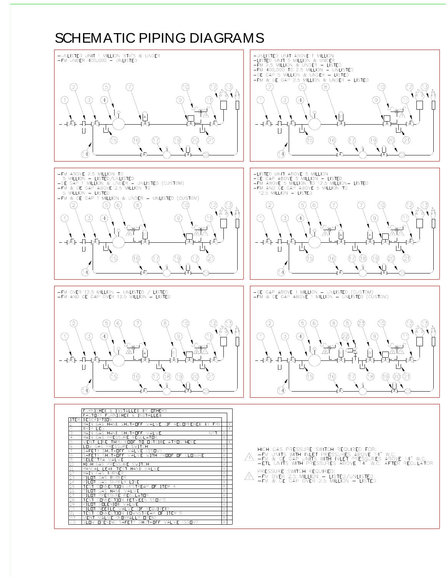# SCHEMATIC PIPING DIAGRAMS